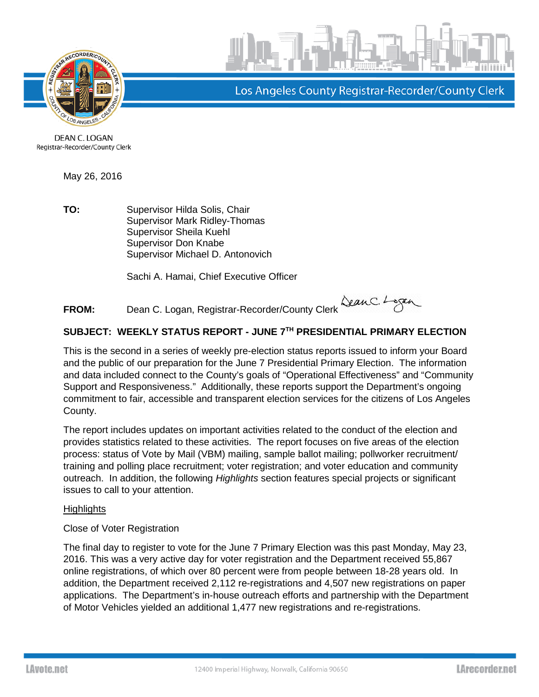



Los Angeles County Registrar-Recorder/County Clerk

DEAN C. LOGAN Registrar-Recorder/County Clerk

May 26, 2016

**TO:** Supervisor Hilda Solis, Chair Supervisor Mark Ridley-Thomas Supervisor Sheila Kuehl Supervisor Don Knabe Supervisor Michael D. Antonovich

Sachi A. Hamai, Chief Executive Officer

**FROM:** Dean C. Logan, Registrar-Recorder/County Clerk

# **SUBJECT: WEEKLY STATUS REPORT - JUNE 7TH PRESIDENTIAL PRIMARY ELECTION**

This is the second in a series of weekly pre-election status reports issued to inform your Board and the public of our preparation for the June 7 Presidential Primary Election. The information and data included connect to the County's goals of "Operational Effectiveness" and "Community Support and Responsiveness." Additionally, these reports support the Department's ongoing commitment to fair, accessible and transparent election services for the citizens of Los Angeles County.

The report includes updates on important activities related to the conduct of the election and provides statistics related to these activities. The report focuses on five areas of the election process: status of Vote by Mail (VBM) mailing, sample ballot mailing; pollworker recruitment/ training and polling place recruitment; voter registration; and voter education and community outreach. In addition, the following *Highlights* section features special projects or significant issues to call to your attention.

#### **Highlights**

Close of Voter Registration

The final day to register to vote for the June 7 Primary Election was this past Monday, May 23, 2016. This was a very active day for voter registration and the Department received 55,867 online registrations, of which over 80 percent were from people between 18-28 years old. In addition, the Department received 2,112 re-registrations and 4,507 new registrations on paper applications. The Department's in-house outreach efforts and partnership with the Department of Motor Vehicles yielded an additional 1,477 new registrations and re-registrations.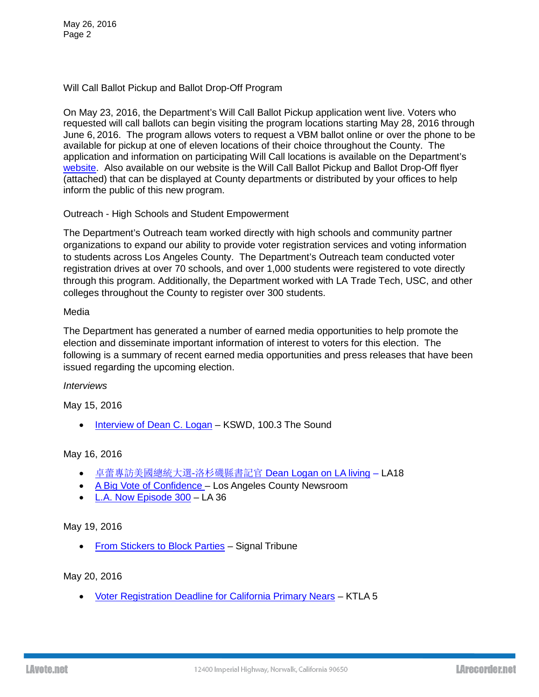Will Call Ballot Pickup and Ballot Drop-Off Program

On May 23, 2016, the Department's Will Call Ballot Pickup application went live. Voters who requested will call ballots can begin visiting the program locations starting May 28, 2016 through June 6, 2016. The program allows voters to request a VBM ballot online or over the phone to be available for pickup at one of eleven locations of their choice throughout the County. The application and information on participating Will Call locations is available on the Department's [website.](http://lavote.net/home/voting-elections/voting-options/vote-by-mail/will-call-ballot-pick-up) Also available on our website is the Will Call Ballot Pickup and Ballot Drop-Off flyer (attached) that can be displayed at County departments or distributed by your offices to help inform the public of this new program.

### Outreach - High Schools and Student Empowerment

The Department's Outreach team worked directly with high schools and community partner organizations to expand our ability to provide voter registration services and voting information to students across Los Angeles County. The Department's Outreach team conducted voter registration drives at over 70 schools, and over 1,000 students were registered to vote directly through this program. Additionally, the Department worked with LA Trade Tech, USC, and other colleges throughout the County to register over 300 students.

#### Media

The Department has generated a number of earned media opportunities to help promote the election and disseminate important information of interest to voters for this election. The following is a summary of recent earned media opportunities and press releases that have been issued regarding the upcoming election.

#### *Interviews*

May 15, 2016

• [Interview of Dean](http://thesoundla.com/?nid=128) C. Logan – KSWD, 100.3 The Sound

## May 16, 2016

- 卓蕾專訪美國總統大選-洛杉磯縣書記官 [Dean Logan on LA living](http://secure-web.cisco.com/1dc_sVVdkBRU8-Cep0QR_X8GPSSJoWmvZtNrLy3YWJ8--NofXQl5cRug16zne2v8PDdFTbYwnibGMhzps-ZkiO3xTIPQSDWJohDFzwBky5Ax-VSiYCrnPrPTa8HzbJ4HSHASQej6gYW0wNhOdFZZD9Oe7s9A92K1YMiyxp_gCvNN1CuCjTW2OYe51-6C8KmPBXUO-Og8a03MFy-85m5wXzPNRv6vbqD2OJFMM_3REfgWhg6FD2OlNnX3GvH7VQ4E6/http%3A%2F%2Fwww.la18.tv%2Fzh%2Fchinese-prog%2F%E5%8D%93%E8%95%BE%E5%B0%88%E8%A8%AA%E7%BE%8E%E5%9C%8B%E7%B8%BD%E7%B5%B1%E5%A4%A7%E9%81%B8-%E6%B4%9B%E6%9D%89%E7%A3%AF%E7%B8%A3%E6%9B%B8%E8%A8%98%E5%AE%98-dean-logan%2F) LA18
- [A Big Vote of Confidence –](https://vimeo.com/166586372) Los Angeles County Newsroom
- [L.A. Now Episode 300](https://vimeo.com/166576744) LA 36

## May 19, 2016

• [From Stickers to Block Parties](http://www.signaltribunenewspaper.com/?p=30949%20) - Signal Tribune

#### May 20, 2016

• [Voter Registration Deadline for California Primary Nears](http://ktla.com/2016/05/20/voter-registration-deadline-for-california-primary-nears/) – KTLA 5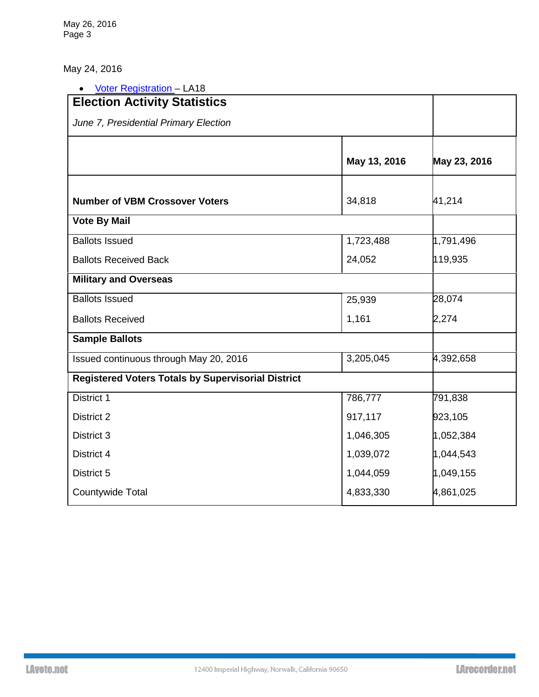May 26, 2016 Page 3

May 24, 2016

| <b>Voter Registration - LA18</b><br>$\bullet$             |              |              |
|-----------------------------------------------------------|--------------|--------------|
| <b>Election Activity Statistics</b>                       |              |              |
| June 7, Presidential Primary Election                     |              |              |
|                                                           | May 13, 2016 | May 23, 2016 |
| <b>Number of VBM Crossover Voters</b>                     | 34,818       | 41,214       |
| <b>Vote By Mail</b>                                       |              |              |
| <b>Ballots Issued</b>                                     | 1,723,488    | 1,791,496    |
| <b>Ballots Received Back</b>                              | 24,052       | 119,935      |
| <b>Military and Overseas</b>                              |              |              |
| <b>Ballots Issued</b>                                     | 25,939       | 28,074       |
| <b>Ballots Received</b>                                   | 1,161        | 2,274        |
| <b>Sample Ballots</b>                                     |              |              |
| Issued continuous through May 20, 2016                    | 3,205,045    | 4,392,658    |
| <b>Registered Voters Totals by Supervisorial District</b> |              |              |
| District 1                                                | 786,777      | 791,838      |
| District 2                                                | 917,117      | 923,105      |
| District 3                                                | 1,046,305    | 1,052,384    |
| District 4                                                | 1,039,072    | 1,044,543    |
| District 5                                                | 1,044,059    | 1,049,155    |
| Countywide Total                                          | 4,833,330    | 4,861,025    |
|                                                           |              |              |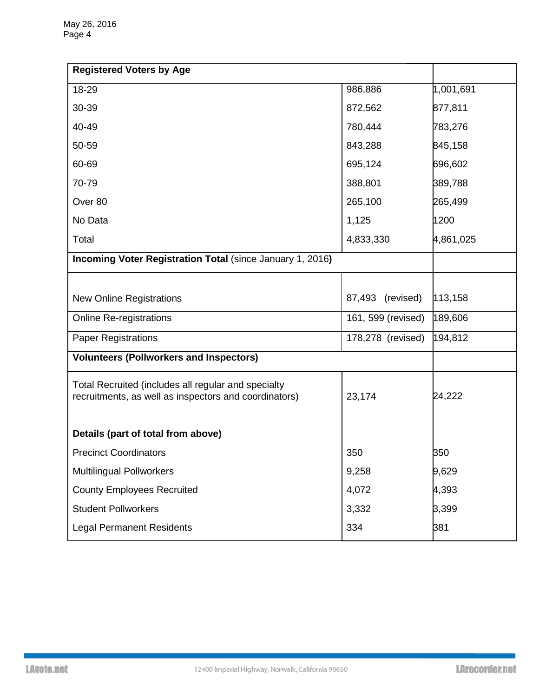| <b>Registered Voters by Age</b>                                                                              |                     |           |
|--------------------------------------------------------------------------------------------------------------|---------------------|-----------|
| 18-29                                                                                                        | 986,886             | 1,001,691 |
| 30-39                                                                                                        | 872,562             | 877,811   |
| 40-49                                                                                                        | 780,444             | 783,276   |
| 50-59                                                                                                        | 843,288             | 845,158   |
| 60-69                                                                                                        | 695,124             | 696,602   |
| 70-79                                                                                                        | 388,801             | 389,788   |
| Over 80                                                                                                      | 265,100             | 265,499   |
| No Data                                                                                                      | 1,125               | 1200      |
| Total                                                                                                        | 4,833,330           | 4,861,025 |
| Incoming Voter Registration Total (since January 1, 2016)                                                    |                     |           |
|                                                                                                              |                     |           |
| <b>New Online Registrations</b>                                                                              | (revised)<br>87,493 | 113,158   |
| <b>Online Re-registrations</b>                                                                               | 161, 599 (revised)  | 189,606   |
| <b>Paper Registrations</b>                                                                                   | 178,278 (revised)   | 194,812   |
| <b>Volunteers (Pollworkers and Inspectors)</b>                                                               |                     |           |
| Total Recruited (includes all regular and specialty<br>recruitments, as well as inspectors and coordinators) | 23,174              | 24,222    |
| Details (part of total from above)                                                                           |                     |           |
| <b>Precinct Coordinators</b>                                                                                 | 350                 | 350       |
| <b>Multilingual Pollworkers</b>                                                                              | 9,258               | 9,629     |
| <b>County Employees Recruited</b>                                                                            | 4,072               | 4,393     |
| <b>Student Pollworkers</b>                                                                                   | 3,332               | 3,399     |
| <b>Legal Permanent Residents</b>                                                                             | 334                 | 381       |